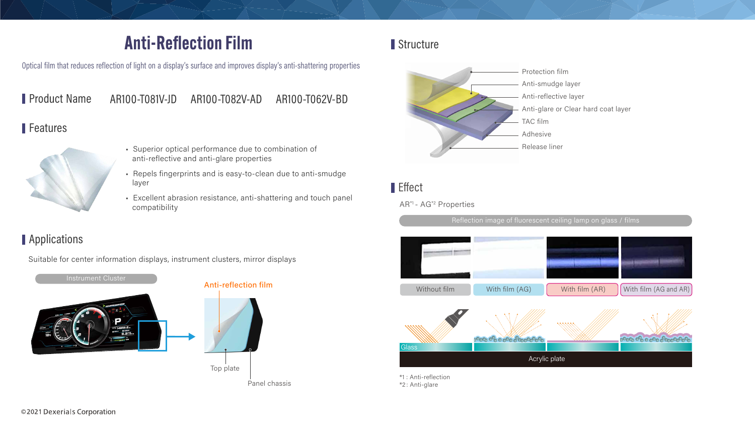# **Anti-Reflection Film**

Optical film that reduces reflection of light on a display's surface and improves display's anti-shattering properties

Product Name AR100-T081V-JD 

#### Features



- · Superior optical performance due to combination of anti-reflective and anti-glare properties
- Repels fingerprints and is easy-to-clean due to anti-smudge layer
- Excellent abrasion resistance, anti-shattering and touch panel compatibility

### Applications

Suitable for center information displays, instrument clusters, mirror displays





# Effect

#### AR\*1 - AG\*2 Properties

Reflection image of fluorescent ceiling lamp on glass / films



\*1 : Anti-reflection \*2 : Anti-glare